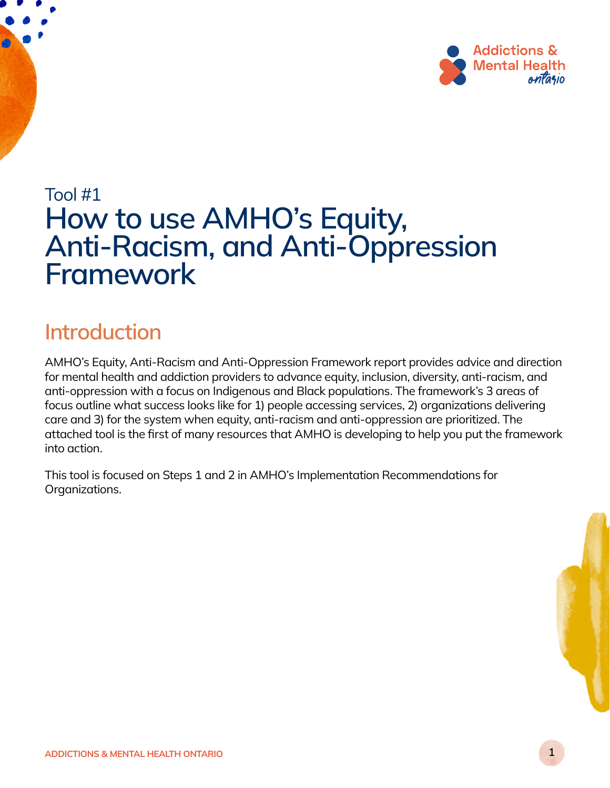

# Tool #1 How to use AMHO's Equity, Anti-Racism, and Anti-Oppression Framework

## Introduction

AMHO's Equity, Anti-Racism and Anti-Oppression Framework report provides advice and direction for mental health and addiction providers to advance equity, inclusion, diversity, anti-racism, and anti-oppression with a focus on Indigenous and Black populations. The framework's 3 areas of focus outline what success looks like for 1) people accessing services, 2) organizations delivering care and 3) for the system when equity, anti-racism and anti-oppression are prioritized. The attached tool is the first of many resources that AMHO is developing to help you put the framework into action.

This tool is focused on Steps 1 and 2 in AMHO's Implementation Recommendations for Organizations.

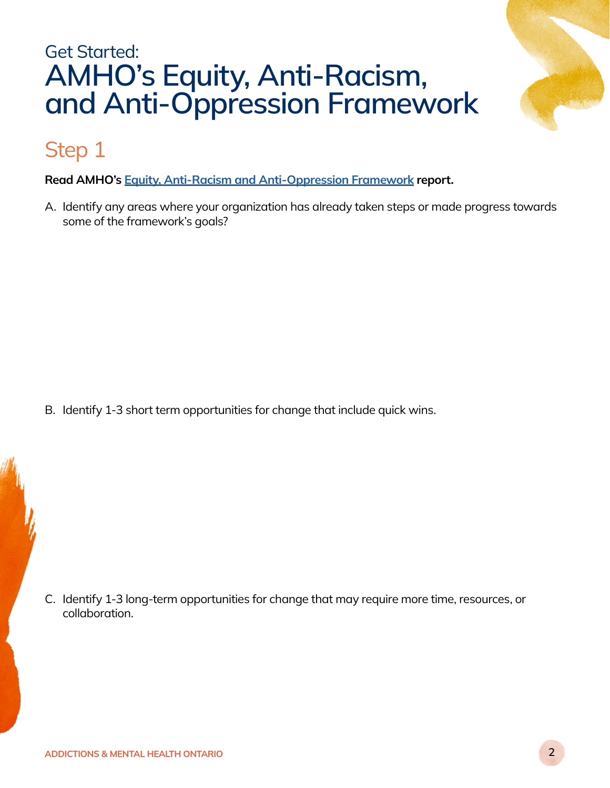# Get Started: AMHO's Equity, Anti-Racism, and Anti-Oppression Framework

## Step 1

Read AMHO's [Equity, Anti-Racism and Anti-Oppression Framework](https://amho.ca/our-work/amhos-equity-anti-racism-and-anti-oppression-framework/) report.

A. Identify any areas where your organization has already taken steps or made progress towards some of the framework's goals?

B. Identify 1-3 short term opportunities for change that include quick wins.

C. Identify 1-3 long-term opportunities for change that may require more time, resources, or collaboration.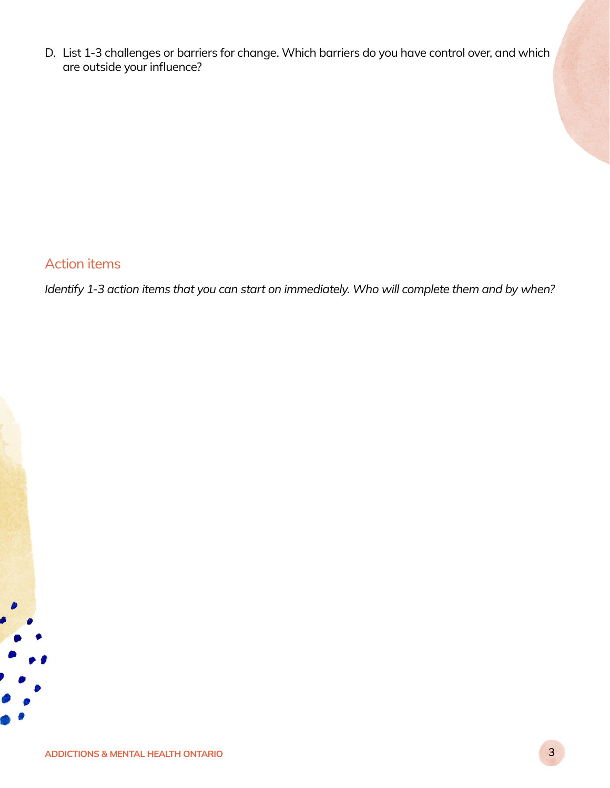D. List 1-3 challenges or barriers for change. Which barriers do you have control over, and which are outside your influence?

### Action items

*Identify 1-3 action items that you can start on immediately. Who will complete them and by when?*

 $\bullet$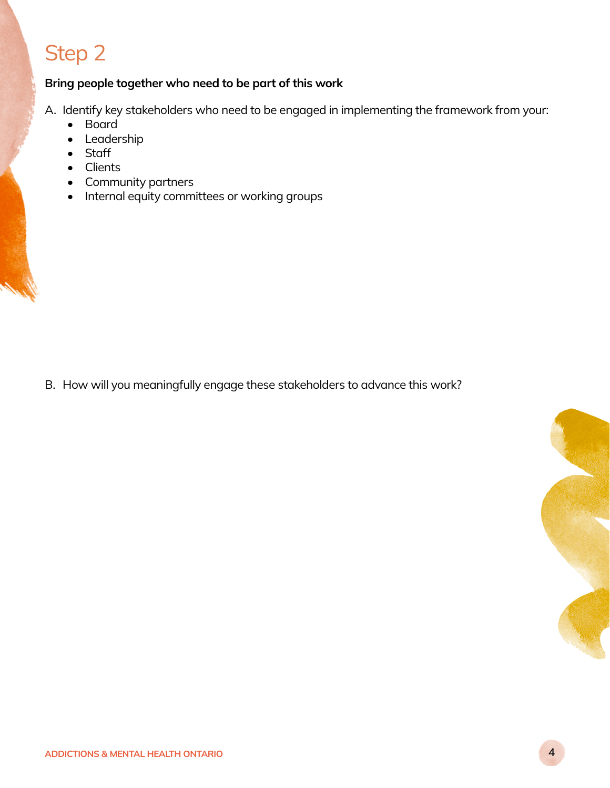# Step 2

#### Bring people together who need to be part of this work

A. Identify key stakeholders who need to be engaged in implementing the framework from your:

- Board
- Leadership
- Staff
- Clients
- Community partners
- Internal equity committees or working groups

B. How will you meaningfully engage these stakeholders to advance this work?

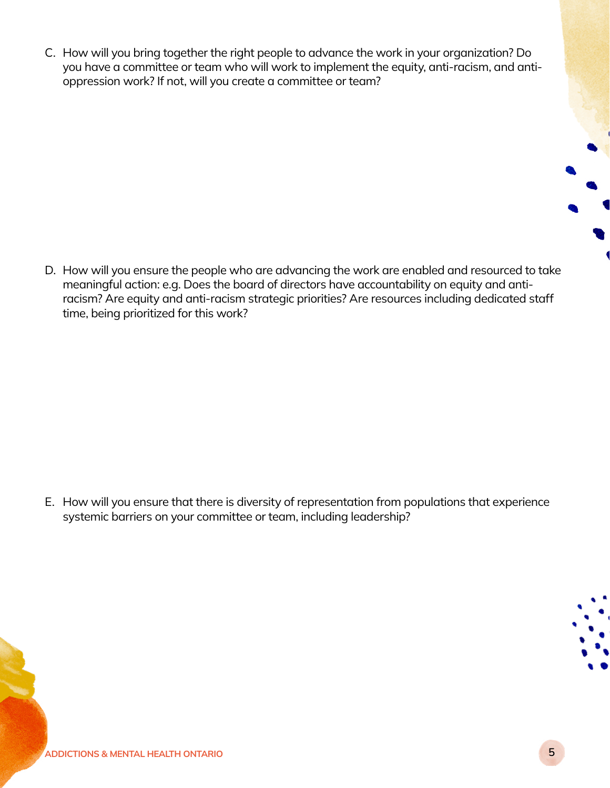C. How will you bring together the right people to advance the work in your organization? Do you have a committee or team who will work to implement the equity, anti-racism, and antioppression work? If not, will you create a committee or team?

D. How will you ensure the people who are advancing the work are enabled and resourced to take meaningful action: e.g. Does the board of directors have accountability on equity and antiracism? Are equity and anti-racism strategic priorities? Are resources including dedicated staff time, being prioritized for this work?

E. How will you ensure that there is diversity of representation from populations that experience systemic barriers on your committee or team, including leadership?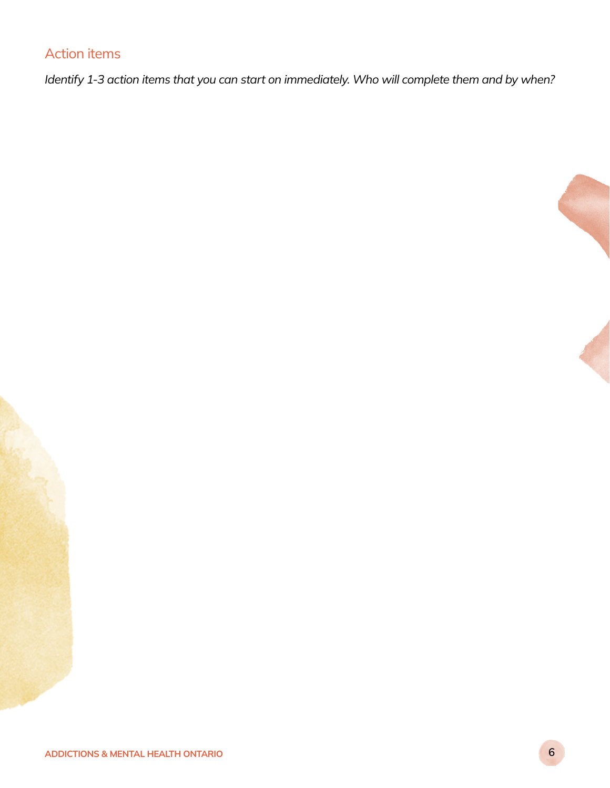### Action items

*Identify 1-3 action items that you can start on immediately. Who will complete them and by when?*



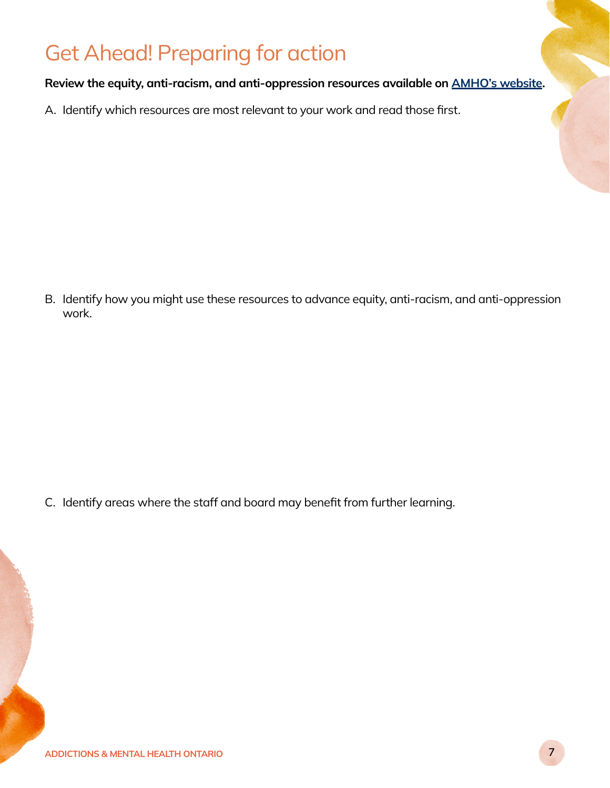# Get Ahead! Preparing for action

#### Review the equity, anti-racism, and anti-oppression resources available on [AMHO's website](https://amho.ca/key-equity-anti-racism-and-anti-oppression-resources/).

A. Identify which resources are most relevant to your work and read those first.

B. Identify how you might use these resources to advance equity, anti-racism, and anti-oppression work.

C. Identify areas where the staff and board may benefit from further learning.